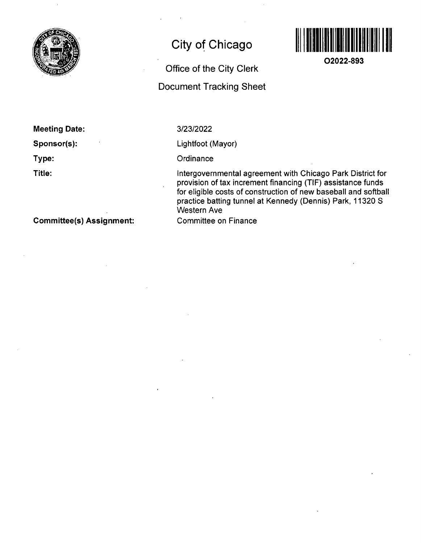

# **City of Chicago**

# **Office of the City Clerk Document Tracking Sheet**



**02022-893** 

**Meeting Date:** 

**Sponsor(s):** 

**Type:** 

**Title:** 

3/23/2022

Lightfoot (Mayor)

**Ordinance** 

Intergovernmental agreement with Chicago Park District for provision of tax increment financing (TIF) assistance funds for eligible costs of construction of new baseball and softball practice batting tunnel at Kennedy (Dennis) Park, 11320 8 Western Ave

Committee on Finance

**Committee(s) Assignment:**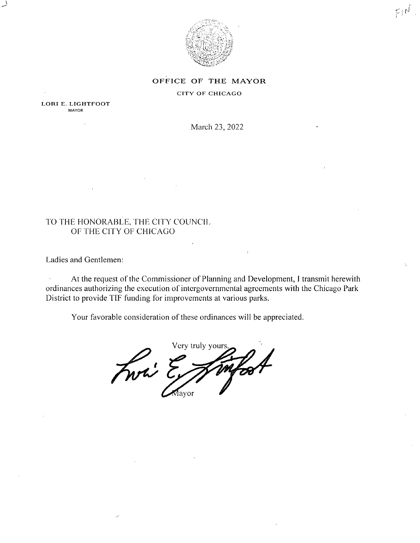

### OFFICE OF THE MAYOR

#### CITY OF CHICAGO

LORI E. LIGHTFOOT MAYOR

ä,

March 23, 2022

## TO THE HONORABLE. fHE CITY COUNCIL OF THE CITY OF CHICAGO

Ladies and Gentlemen:

At the request of the Commissioner of Planning and Development, I transmit herewith  $\sim$ ordinances authorizing the execution of intergovernmental agreements with the Chicago Park District to provide TIF funding for improvements at various parks.

Your favorable consideration of these ordinances will be appreciated.

Very truly yours. Fwi ? Мауог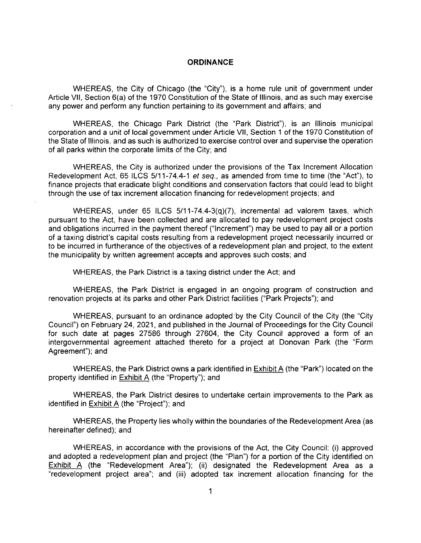#### **ORDINANCE**

WHEREAS, the City of Chicago (the "City"), is a home rule unit of government under Article VII, Section 6(a) of the 1970 Constitution of the State of Illinois, and as such may exercise any power and perform any function pertaining to its government and affairs; and

WHEREAS, the Chicago Park District (the "Park District"), is an Illinois municipal corporation and a unit of local government under Article VII, Section 1 of the 1970 Constitution of the State of Illinois, and as such is authorized to exercise control over and supervise the operation of all parks within the corporate limits of the City; and

WHEREAS, the City is authorized under the provisions of the Tax Increment Allocation Redevelopment Act, 65 ILCS 5/11-74.4-1 et seq., as amended from time to time (the "Act"), to finance projects that eradicate blight conditions and conservation factors that could lead to blight through the use of tax increment allocation financing for redevelopment projects; and

WHEREAS, under 65 ILCS 5/11-74.4-3(q)(7), incremental ad valorem taxes, which pursuant to the Act, have been collected and are allocated to pay redevelopment project costs and obligations incurred in the payment thereof ("Increment") may be used to pay all or a portion of a taxing district's capital costs resulting from a redevelopment project necessarily incurred or to be incurred in furtherance of the objectives of a redevelopment plan and project, to the extent the municipality by written agreement accepts and approves such costs; and

WHEREAS, the Park District is a taxing district under the Act; and

WHEREAS, the Park District is engaged in an ongoing program of construction and renovation projects at its parks and other Park District facilities ("Park Projects"); and

WHEREAS, pursuant to an ordinance adopted by the City Council of the City (the "City Council") on February 24, 2021, and published in the Journal of Proceedings forthe City Council for such date at pages 27586 through 27604, the City Council approved a form of an intergovernmental agreement attached thereto for a project at Donovan Park (the "Form Agreement"); and

WHEREAS, the Park District owns a park identified in Exhibit A (the "Park") located on the property identified in Exhibit A (the "Property"); and

WHEREAS, the Park District desires to undertake certain improvements to the Park as identified in Exhibit A (the "Project"); and

WHEREAS, the Property lies wholly within the boundaries of the Redevelopment Area (as hereinafter defined); and

WHEREAS, in accordance with the provisions of the Act, the City Council: (i) approved and adopted a redevelopment plan and project (the "Plan") for a portion of the City identified on Exhibit A (the "Redevelopment Area"); (ii) designated the Redevelopment Area as a "redevelopment project area"; and (iii) adopted tax increment allocation financing for the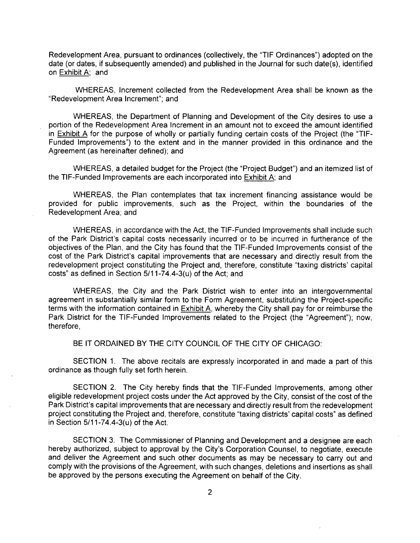Redevelopment Area, pursuant to ordinances (collectively, the "TIF Ordinances") adopted on the date (or dates, if subsequently amended) and published in the Journal for such date(s), identified on Exhibit A; and

WHEREAS, Increment collected from the Redevelopment Area shall be known as the "Redevelopment Area Increment"; and

WHEREAS, the Department of Planning and Development of the City desires to use a portion of the Redevelopment Area Increment in an amount not to exceed the amount identified in  $Exhibit A$  for the purpose of wholly or partially funding certain costs of the Project (the "TIF-Funded Improvements") to the extent and in the manner provided in this ordinance and the Agreement (as hereinafter defined); and

WHEREAS, a detailed budget for the Project (the "Project Budget") and an itemized list of the TIF-Funded Improvements are each incorporated into Exhibit A; and

WHEREAS, the Plan contemplates that tax increment financing assistance would be provided for public improvements, such as the Project, within the boundaries of the Redevelopment Area; and

WHEREAS, in accordance with the Act, the TIF-Funded Improvements shall include such of the Park District's capital costs necessarily incurred or to be incurred in furtherance of the objectives of the Plan, and the City has found that the TIF-Funded Improvements consist of the cost of the Park District's capital improvements that are necessary and directly result from the redevelopment project constituting the Project and, therefore, constitute "taxing districts' capital costs" as defined in Section 5/11-74.4-3(u) of the Act; and

WHEREAS, the City and the Park District wish to enter into an intergovernmental agreement in substantially similar form to the Form Agreement, substituting the Project-specific terms with the information contained in **Exhibit A**, whereby the City shall pay for or reimburse the Park District for the TIF-Funded Improvements related to the Project (the "Agreement"); now, therefore,

BE IT ORDAINED BY THE CITY COUNCIL OF THE CITY OF CHICAGO:

SECTION 1. The above recitals are expressly incorporated in and made a part of this ordinance as though fully set forth herein.

SECTION 2. The City hereby finds that the TIF-Funded Improvements, among other eligible redevelopment project costs under the Act approved by the City, consist of the cost of the Park District's capital improvements that are necessary and directly result from the redevelopment project constituting the Project and, therefore, constitute "taxing districts' capital costs" as defined in Section 5/11-74.4-3(u) of the Act.

SECTION 3. The Commissioner of Planning and Development and a designee are each hereby authorized, subject to approval by the City's Corporation Counsel, to negotiate, execute and deliver the Agreement and such other documents as may be necessary to carry out and comply with the provisions of the Agreement, with such changes, deletions and insertions as shall be approved by the persons executing the Agreement on behalf of the City.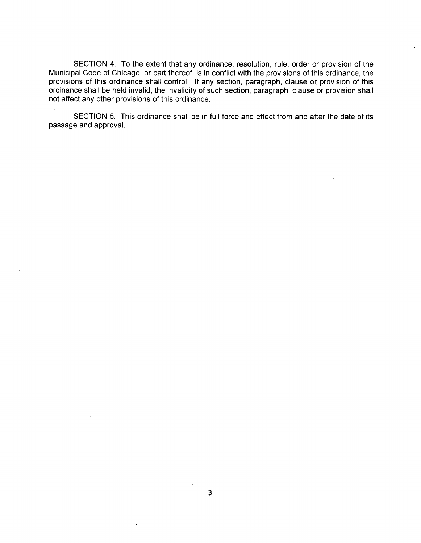SECTION 4. To the extent that any ordinance, resolution, rule, order or provision of the Municipal Code of Chicago, or part thereof, is in conflict with the provisions of this ordinance, the provisions of this ordinance shall control. If any section, paragraph, clause or provision of this ordinance shall be held invalid, the invalidity of such section, paragraph, clause or provision shall not affect any other provisions of this ordinance.

SECTION 5. This ordinance shall be in full force and effect from and after the date of its passage and approval.

 $\overline{\phantom{a}}$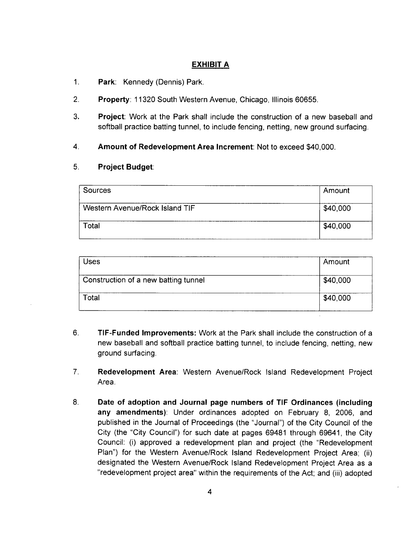## **EXHIBIT A**

- 1. Park: Kennedy (Dennis) Park.
- 2. Property: 11320 South Western Avenue, Chicago, Illinois 60655.
- 3. Project: Work at the Park shall include the construction of a new baseball and softball practice batting tunnel, to include fencing, netting, new ground surfacing.
- 4 Amount of Redevelopment Area Increment: Not to exceed \$40,000.

### **5. Project Budget:**

| Sources                        | Amount   |
|--------------------------------|----------|
| Western Avenue/Rock Island TIF | \$40,000 |
| Total                          | \$40,000 |

| Uses                                 | Amount   |
|--------------------------------------|----------|
| Construction of a new batting tunnel | \$40,000 |
| Total                                | \$40,000 |

- $6.$ TIF-Funded Improvements: Work at the Park shall include the construction of a new baseball and softball practice batting tunnel, to include fencing, netting, new ground surfacing.
- $7<sub>1</sub>$ Redevelopment Area: Western Avenue/Rock Island Redevelopment Project Area.
- 8. Date of adoption and Journal page numbers of TIF Ordinances (Including any amendments): Under ordinances adopted on February 8, 2006, and published in the Journal of Proceedings (the "Journal") of the City Council of the City (the "City Council") for such date at pages 69481 through 69641, the City Council: (i) approved a redevelopment plan and project (the "Redevelopment Plan") for the Western Avenue/Rock Island Redevelopment Project Area; (ii) designated the Western Avenue/Rock Island Redevelopment Project Area as a "redevelopment project area" within the requirements of the Act; and (iii) adopted